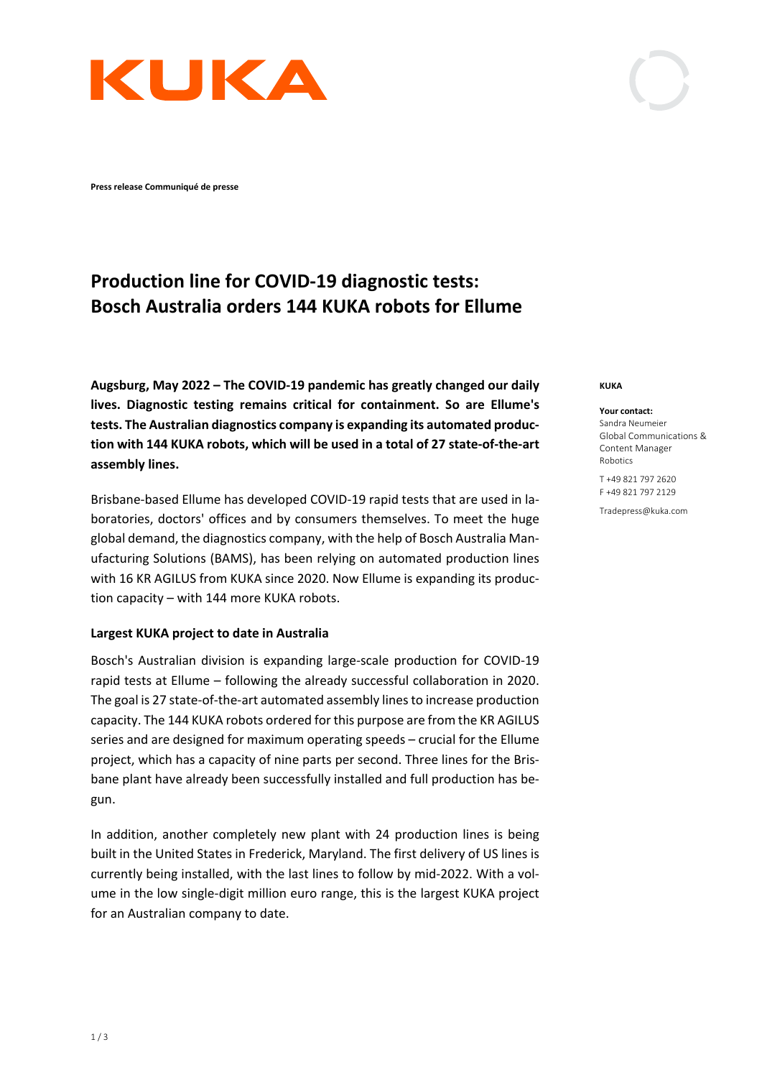

**Press release Communiqué de presse**

# **Production line for COVID-19 diagnostic tests: Bosch Australia orders 144 KUKA robots for Ellume**

**Augsburg, May 2022 – The COVID-19 pandemic has greatly changed our daily lives. Diagnostic testing remains critical for containment. So are Ellume's tests. The Australian diagnostics company is expanding its automated production with 144 KUKA robots, which will be used in a total of 27 state-of-the-art assembly lines.**

Brisbane-based Ellume has developed COVID-19 rapid tests that are used in laboratories, doctors' offices and by consumers themselves. To meet the huge global demand, the diagnostics company, with the help of Bosch Australia Manufacturing Solutions (BAMS), has been relying on automated production lines with 16 KR AGILUS from KUKA since 2020. Now Ellume is expanding its production capacity – with 144 more KUKA robots.

## **Largest KUKA project to date in Australia**

Bosch's Australian division is expanding large-scale production for COVID-19 rapid tests at Ellume – following the already successful collaboration in 2020. The goal is 27 state-of-the-art automated assembly lines to increase production capacity. The 144 KUKA robots ordered for this purpose are from the KR AGILUS series and are designed for maximum operating speeds – crucial for the Ellume project, which has a capacity of nine parts per second. Three lines for the Brisbane plant have already been successfully installed and full production has begun.

In addition, another completely new plant with 24 production lines is being built in the United States in Frederick, Maryland. The first delivery of US lines is currently being installed, with the last lines to follow by mid-2022. With a volume in the low single-digit million euro range, this is the largest KUKA project for an Australian company to date.

#### **KUKA**

#### **Your contact:**

Sandra Neumeier Global Communications & Content Manager Robotics

T +49 821 797 2620 F +49 821 797 2129

Tradepress@kuka.com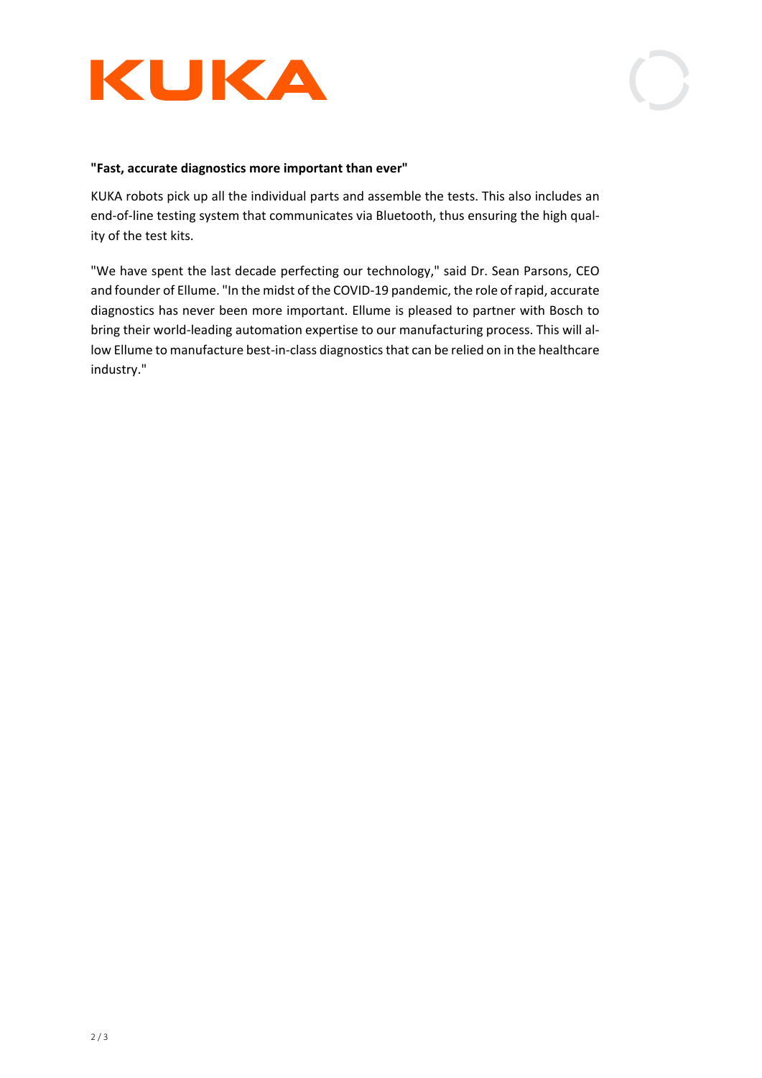

## **"Fast, accurate diagnostics more important than ever"**

KUKA robots pick up all the individual parts and assemble the tests. This also includes an end-of-line testing system that communicates via Bluetooth, thus ensuring the high quality of the test kits.

"We have spent the last decade perfecting our technology," said Dr. Sean Parsons, CEO and founder of Ellume. "In the midst of the COVID-19 pandemic, the role of rapid, accurate diagnostics has never been more important. Ellume is pleased to partner with Bosch to bring their world-leading automation expertise to our manufacturing process. This will allow Ellume to manufacture best-in-class diagnostics that can be relied on in the healthcare industry."